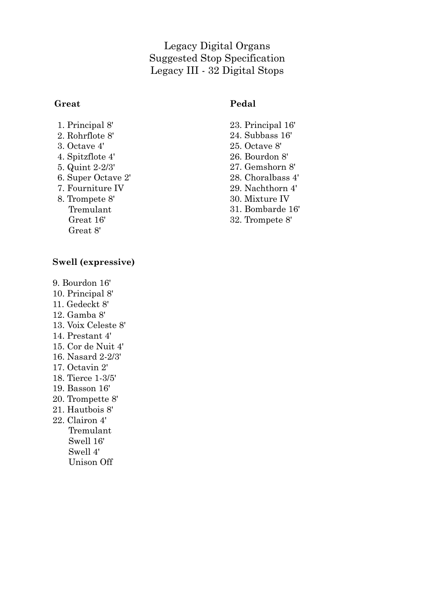# Legacy Digital Organs Suggested Stop Specification Legacy III - 32 Digital Stops

### **Great**

## **Pedal**

- 1. Principal 8'
- 2. Rohrflote 8'
- 3. Octave 4'
- 4. Spitzflote 4'
- 5. Quint 2-2/3'
- 6. Super Octave 2'
- 7. Fourniture IV
- 8. Trompete 8' Tremulant Great 16' Great 8'

## **Swell (expressive)**

- 9. Bourdon 16'
- 10. Principal 8'
- 11. Gedeckt 8'
- 12. Gamba 8'
- 13. Voix Celeste 8'
- 14. Prestant 4'
- 15. Cor de Nuit 4'
- 16. Nasard 2-2/3'
- 17. Octavin 2'
- 18. Tierce 1-3/5'
- 19. Basson 16'
- 20. Trompette 8'
- 21. Hautbois 8'
- 22. Clairon 4' Tremulant Swell 16' Swell 4' Unison Off
- 23. Principal 16'
- 24. Subbass 16'
- 25. Octave 8'
- 26. Bourdon 8'
- 27. Gemshorn 8'
- 28. Choralbass 4'
- 29. Nachthorn 4'
- 30. Mixture IV
- 31. Bombarde 16'
- 32. Trompete 8'